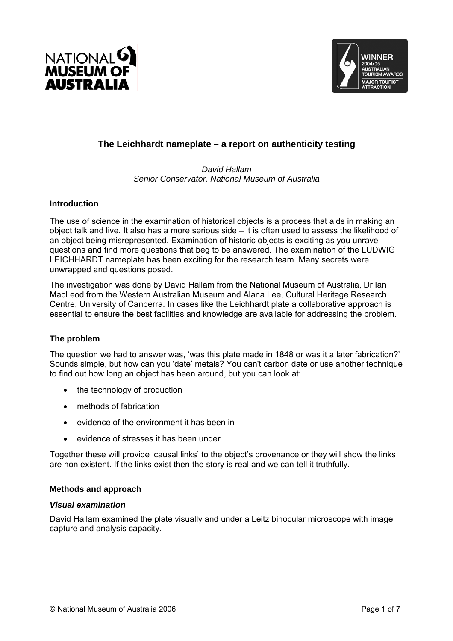



# **The Leichhardt nameplate – a report on authenticity testing**

#### *David Hallam Senior Conservator, National Museum of Australia*

# **Introduction**

The use of science in the examination of historical objects is a process that aids in making an object talk and live. It also has a more serious side – it is often used to assess the likelihood of an object being misrepresented. Examination of historic objects is exciting as you unravel questions and find more questions that beg to be answered. The examination of the LUDWIG LEICHHARDT nameplate has been exciting for the research team. Many secrets were unwrapped and questions posed.

The investigation was done by David Hallam from the National Museum of Australia, Dr Ian MacLeod from the Western Australian Museum and Alana Lee, Cultural Heritage Research Centre, University of Canberra. In cases like the Leichhardt plate a collaborative approach is essential to ensure the best facilities and knowledge are available for addressing the problem.

# **The problem**

The question we had to answer was, 'was this plate made in 1848 or was it a later fabrication?' Sounds simple, but how can you 'date' metals? You can't carbon date or use another technique to find out how long an object has been around, but you can look at:

- the technology of production
- methods of fabrication
- evidence of the environment it has been in
- evidence of stresses it has been under.

Together these will provide 'causal links' to the object's provenance or they will show the links are non existent. If the links exist then the story is real and we can tell it truthfully.

# **Methods and approach**

# *Visual examination*

David Hallam examined the plate visually and under a Leitz binocular microscope with image capture and analysis capacity.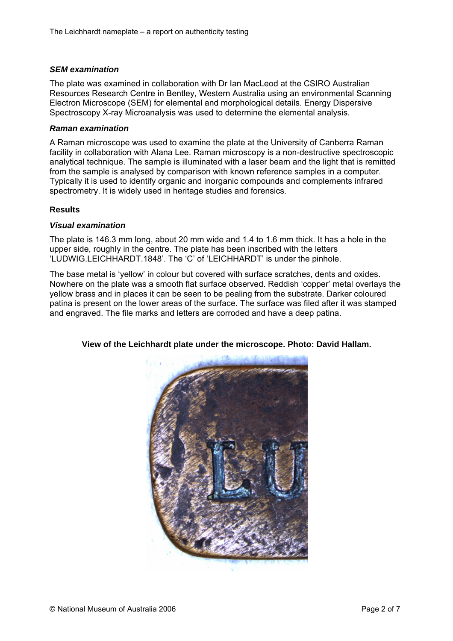# *SEM examination*

The plate was examined in collaboration with Dr Ian MacLeod at the CSIRO Australian Resources Research Centre in Bentley, Western Australia using an environmental Scanning Electron Microscope (SEM) for elemental and morphological details. Energy Dispersive Spectroscopy X-ray Microanalysis was used to determine the elemental analysis.

#### *Raman examination*

A Raman microscope was used to examine the plate at the University of Canberra Raman facility in collaboration with Alana Lee. Raman microscopy is a non-destructive spectroscopic analytical technique. The sample is illuminated with a laser beam and the light that is remitted from the sample is analysed by comparison with known reference samples in a computer. Typically it is used to identify organic and inorganic compounds and complements infrared spectrometry. It is widely used in heritage studies and forensics.

#### **Results**

#### *Visual examination*

The plate is 146.3 mm long, about 20 mm wide and 1.4 to 1.6 mm thick. It has a hole in the upper side, roughly in the centre. The plate has been inscribed with the letters 'LUDWIG.LEICHHARDT.1848'. The 'C' of 'LEICHHARDT' is under the pinhole.

The base metal is 'yellow' in colour but covered with surface scratches, dents and oxides. Nowhere on the plate was a smooth flat surface observed. Reddish 'copper' metal overlays the yellow brass and in places it can be seen to be pealing from the substrate. Darker coloured patina is present on the lower areas of the surface. The surface was filed after it was stamped and engraved. The file marks and letters are corroded and have a deep patina.



# **View of the Leichhardt plate under the microscope. Photo: David Hallam.**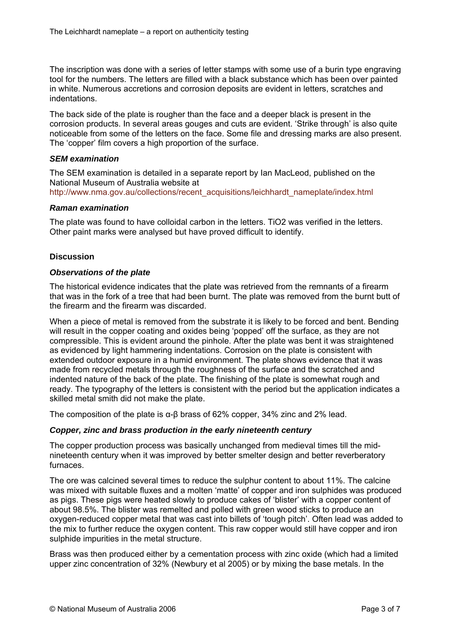The inscription was done with a series of letter stamps with some use of a burin type engraving tool for the numbers. The letters are filled with a black substance which has been over painted in white. Numerous accretions and corrosion deposits are evident in letters, scratches and indentations.

The back side of the plate is rougher than the face and a deeper black is present in the corrosion products. In several areas gouges and cuts are evident. 'Strike through' is also quite noticeable from some of the letters on the face. Some file and dressing marks are also present. The 'copper' film covers a high proportion of the surface.

# *SEM examination*

The SEM examination is detailed in a separate report by Ian MacLeod, published on the National Museum of Australia website at http://www.nma.gov.au/collections/recent\_acquisitions/leichhardt\_nameplate/index.html

#### *Raman examination*

The plate was found to have colloidal carbon in the letters. TiO2 was verified in the letters. Other paint marks were analysed but have proved difficult to identify.

#### **Discussion**

#### *Observations of the plate*

The historical evidence indicates that the plate was retrieved from the remnants of a firearm that was in the fork of a tree that had been burnt. The plate was removed from the burnt butt of the firearm and the firearm was discarded.

When a piece of metal is removed from the substrate it is likely to be forced and bent. Bending will result in the copper coating and oxides being 'popped' off the surface, as they are not compressible. This is evident around the pinhole. After the plate was bent it was straightened as evidenced by light hammering indentations. Corrosion on the plate is consistent with extended outdoor exposure in a humid environment. The plate shows evidence that it was made from recycled metals through the roughness of the surface and the scratched and indented nature of the back of the plate. The finishing of the plate is somewhat rough and ready. The typography of the letters is consistent with the period but the application indicates a skilled metal smith did not make the plate.

The composition of the plate is  $\alpha$ - $\beta$  brass of 62% copper, 34% zinc and 2% lead.

# *Copper, zinc and brass production in the early nineteenth century*

The copper production process was basically unchanged from medieval times till the midnineteenth century when it was improved by better smelter design and better reverberatory furnaces.

The ore was calcined several times to reduce the sulphur content to about 11%. The calcine was mixed with suitable fluxes and a molten 'matte' of copper and iron sulphides was produced as pigs. These pigs were heated slowly to produce cakes of 'blister' with a copper content of about 98.5%. The blister was remelted and polled with green wood sticks to produce an oxygen-reduced copper metal that was cast into billets of 'tough pitch'. Often lead was added to the mix to further reduce the oxygen content. This raw copper would still have copper and iron sulphide impurities in the metal structure.

Brass was then produced either by a cementation process with zinc oxide (which had a limited upper zinc concentration of 32% (Newbury et al 2005) or by mixing the base metals. In the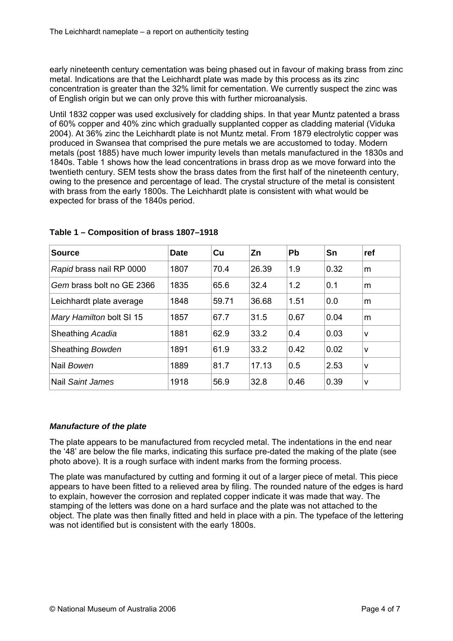early nineteenth century cementation was being phased out in favour of making brass from zinc metal. Indications are that the Leichhardt plate was made by this process as its zinc concentration is greater than the 32% limit for cementation. We currently suspect the zinc was of English origin but we can only prove this with further microanalysis.

Until 1832 copper was used exclusively for cladding ships. In that year Muntz patented a brass of 60% copper and 40% zinc which gradually supplanted copper as cladding material (Viduka 2004). At 36% zinc the Leichhardt plate is not Muntz metal. From 1879 electrolytic copper was produced in Swansea that comprised the pure metals we are accustomed to today. Modern metals (post 1885) have much lower impurity levels than metals manufactured in the 1830s and 1840s. Table 1 shows how the lead concentrations in brass drop as we move forward into the twentieth century. SEM tests show the brass dates from the first half of the nineteenth century, owing to the presence and percentage of lead. The crystal structure of the metal is consistent with brass from the early 1800s. The Leichhardt plate is consistent with what would be expected for brass of the 1840s period.

| <b>Source</b>             | <b>Date</b> | Cu    | Zn    | <b>Pb</b> | Sn   | ∣ref         |
|---------------------------|-------------|-------|-------|-----------|------|--------------|
| Rapid brass nail RP 0000  | 1807        | 70.4  | 26.39 | 1.9       | 0.32 | m            |
| Gem brass bolt no GE 2366 | 1835        | 65.6  | 32.4  | 1.2       | 0.1  | m            |
| Leichhardt plate average  | 1848        | 59.71 | 36.68 | 1.51      | 0.0  | m            |
| Mary Hamilton bolt SI 15  | 1857        | 67.7  | 31.5  | 0.67      | 0.04 | m            |
| Sheathing Acadia          | 1881        | 62.9  | 33.2  | 0.4       | 0.03 | $\mathsf{v}$ |
| Sheathing Bowden          | 1891        | 61.9  | 33.2  | 0.42      | 0.02 | l V          |
| Nail Bowen                | 1889        | 81.7  | 17.13 | 0.5       | 2.53 | IV.          |
| Nail Saint James          | 1918        | 56.9  | 32.8  | 0.46      | 0.39 | V            |

# **Table 1 – Composition of brass 1807–1918**

# *Manufacture of the plate*

The plate appears to be manufactured from recycled metal. The indentations in the end near the '48' are below the file marks, indicating this surface pre-dated the making of the plate (see photo above). It is a rough surface with indent marks from the forming process.

The plate was manufactured by cutting and forming it out of a larger piece of metal. This piece appears to have been fitted to a relieved area by filing. The rounded nature of the edges is hard to explain, however the corrosion and replated copper indicate it was made that way. The stamping of the letters was done on a hard surface and the plate was not attached to the object. The plate was then finally fitted and held in place with a pin. The typeface of the lettering was not identified but is consistent with the early 1800s.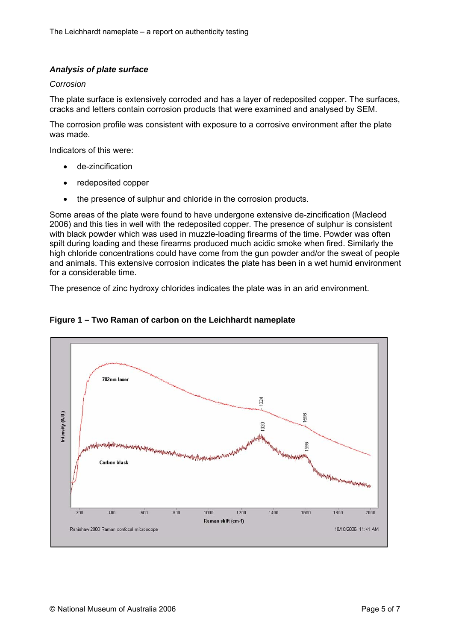# *Analysis of plate surface*

#### *Corrosion*

The plate surface is extensively corroded and has a layer of redeposited copper. The surfaces, cracks and letters contain corrosion products that were examined and analysed by SEM.

The corrosion profile was consistent with exposure to a corrosive environment after the plate was made.

Indicators of this were:

- de-zincification
- redeposited copper
- the presence of sulphur and chloride in the corrosion products.

Some areas of the plate were found to have undergone extensive de-zincification (Macleod 2006) and this ties in well with the redeposited copper. The presence of sulphur is consistent with black powder which was used in muzzle-loading firearms of the time. Powder was often spilt during loading and these firearms produced much acidic smoke when fired. Similarly the high chloride concentrations could have come from the gun powder and/or the sweat of people and animals. This extensive corrosion indicates the plate has been in a wet humid environment for a considerable time.

The presence of zinc hydroxy chlorides indicates the plate was in an arid environment.



# **Figure 1 – Two Raman of carbon on the Leichhardt nameplate**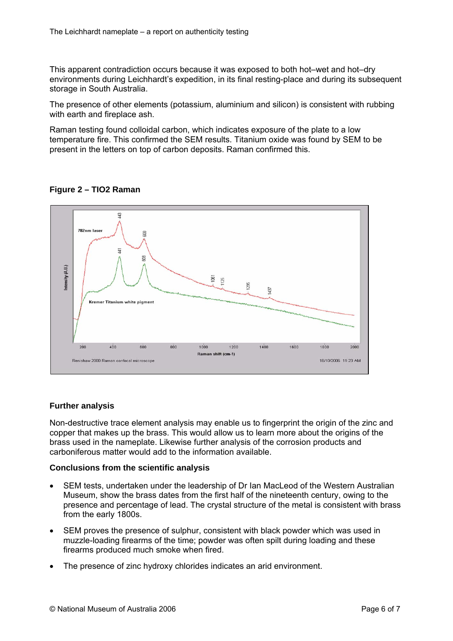This apparent contradiction occurs because it was exposed to both hot–wet and hot–dry environments during Leichhardt's expedition, in its final resting-place and during its subsequent storage in South Australia.

The presence of other elements (potassium, aluminium and silicon) is consistent with rubbing with earth and fireplace ash.

Raman testing found colloidal carbon, which indicates exposure of the plate to a low temperature fire. This confirmed the SEM results. Titanium oxide was found by SEM to be present in the letters on top of carbon deposits. Raman confirmed this.



**Figure 2 – TIO2 Raman** 

# **Further analysis**

Non-destructive trace element analysis may enable us to fingerprint the origin of the zinc and copper that makes up the brass. This would allow us to learn more about the origins of the brass used in the nameplate. Likewise further analysis of the corrosion products and carboniferous matter would add to the information available.

# **Conclusions from the scientific analysis**

- SEM tests, undertaken under the leadership of Dr Ian MacLeod of the Western Australian Museum, show the brass dates from the first half of the nineteenth century, owing to the presence and percentage of lead. The crystal structure of the metal is consistent with brass from the early 1800s.
- SEM proves the presence of sulphur, consistent with black powder which was used in muzzle-loading firearms of the time; powder was often spilt during loading and these firearms produced much smoke when fired.
- The presence of zinc hydroxy chlorides indicates an arid environment.